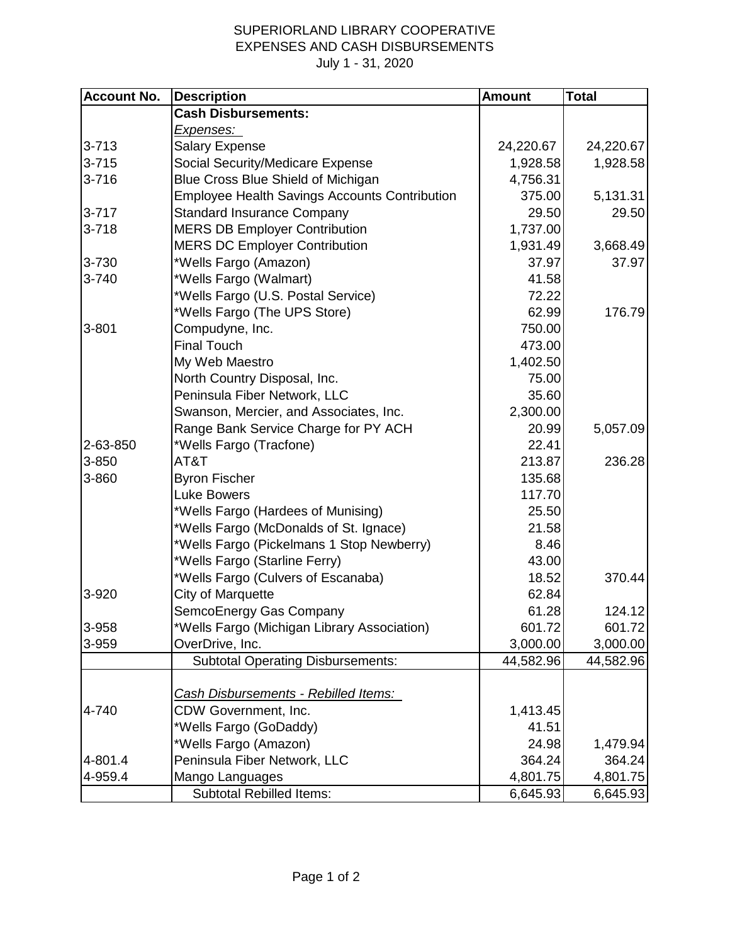## SUPERIORLAND LIBRARY COOPERATIVE EXPENSES AND CASH DISBURSEMENTS July 1 - 31, 2020

| <b>Account No.</b> | <b>Description</b>                                   | <b>Amount</b> | <b>Total</b> |
|--------------------|------------------------------------------------------|---------------|--------------|
|                    | Cash Disbursements:                                  |               |              |
|                    | Expenses:                                            |               |              |
| $3 - 713$          | <b>Salary Expense</b>                                | 24,220.67     | 24,220.67    |
| $3 - 715$          | Social Security/Medicare Expense                     | 1,928.58      | 1,928.58     |
| $3 - 716$          | Blue Cross Blue Shield of Michigan                   | 4,756.31      |              |
|                    | <b>Employee Health Savings Accounts Contribution</b> | 375.00        | 5,131.31     |
| $3 - 717$          | <b>Standard Insurance Company</b>                    | 29.50         | 29.50        |
| $3 - 718$          | <b>MERS DB Employer Contribution</b>                 | 1,737.00      |              |
|                    | <b>MERS DC Employer Contribution</b>                 | 1,931.49      | 3,668.49     |
| 3-730              | *Wells Fargo (Amazon)                                | 37.97         | 37.97        |
| 3-740              | *Wells Fargo (Walmart)                               | 41.58         |              |
|                    | *Wells Fargo (U.S. Postal Service)                   | 72.22         |              |
|                    | *Wells Fargo (The UPS Store)                         | 62.99         | 176.79       |
| $3 - 801$          | Compudyne, Inc.                                      | 750.00        |              |
|                    | <b>Final Touch</b>                                   | 473.00        |              |
|                    | My Web Maestro                                       | 1,402.50      |              |
|                    | North Country Disposal, Inc.                         | 75.00         |              |
|                    | Peninsula Fiber Network, LLC                         | 35.60         |              |
|                    | Swanson, Mercier, and Associates, Inc.               | 2,300.00      |              |
|                    | Range Bank Service Charge for PY ACH                 | 20.99         | 5,057.09     |
| 2-63-850           | *Wells Fargo (Tracfone)                              | 22.41         |              |
| 3-850              | AT&T                                                 | 213.87        | 236.28       |
| 3-860              | <b>Byron Fischer</b>                                 | 135.68        |              |
|                    | <b>Luke Bowers</b>                                   | 117.70        |              |
|                    | *Wells Fargo (Hardees of Munising)                   | 25.50         |              |
|                    | *Wells Fargo (McDonalds of St. Ignace)               | 21.58         |              |
|                    | *Wells Fargo (Pickelmans 1 Stop Newberry)            | 8.46          |              |
|                    | *Wells Fargo (Starline Ferry)                        | 43.00         |              |
|                    | *Wells Fargo (Culvers of Escanaba)                   | 18.52         | 370.44       |
| 3-920              | <b>City of Marquette</b>                             | 62.84         |              |
|                    | SemcoEnergy Gas Company                              | 61.28         | 124.12       |
| 3-958              | *Wells Fargo (Michigan Library Association)          | 601.72        | 601.72       |
| 3-959              | OverDrive, Inc.                                      | 3,000.00      | 3,000.00     |
|                    | <b>Subtotal Operating Disbursements:</b>             | 44,582.96     | 44,582.96    |
|                    |                                                      |               |              |
|                    | Cash Disbursements - Rebilled Items:                 |               |              |
| 4-740              | CDW Government, Inc.                                 | 1,413.45      |              |
|                    | *Wells Fargo (GoDaddy)                               | 41.51         |              |
|                    | *Wells Fargo (Amazon)                                | 24.98         | 1,479.94     |
| 4-801.4            | Peninsula Fiber Network, LLC                         | 364.24        | 364.24       |
| 4-959.4            | Mango Languages                                      | 4,801.75      | 4,801.75     |
|                    | <b>Subtotal Rebilled Items:</b>                      | 6,645.93      | 6,645.93     |